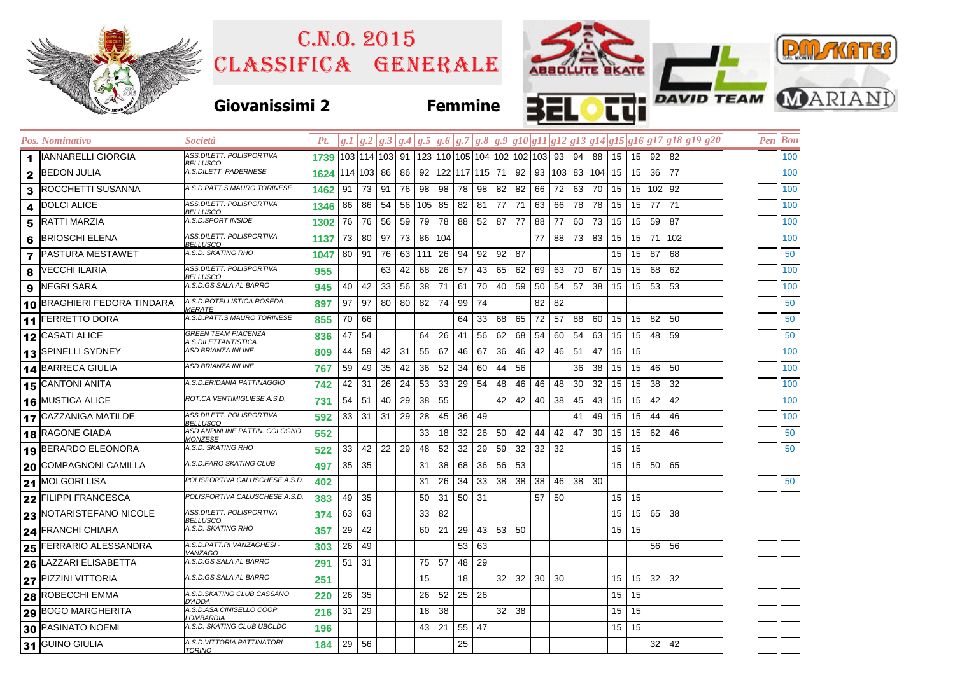|                |                           |                                                   |      |                 |              |          | C.N.0.2015<br>CLASSIFICA GENERALE |                     |    |                                                                                    |    |                              |              |    |          | ABSOLUTE SKATE           |                 |                 |                              |  |  |  |  | <b>PLUL AKRITES</b>           |  |  |  |
|----------------|---------------------------|---------------------------------------------------|------|-----------------|--------------|----------|-----------------------------------|---------------------|----|------------------------------------------------------------------------------------|----|------------------------------|--------------|----|----------|--------------------------|-----------------|-----------------|------------------------------|--|--|--|--|-------------------------------|--|--|--|
|                |                           | Giovanissimi 2                                    |      |                 |              |          |                                   |                     |    | <b>Femmine</b>                                                                     |    |                              |              |    |          |                          |                 |                 |                              |  |  |  |  | <b>THE DAVID TEAM WARIANI</b> |  |  |  |
|                | Pos. Nominativo           | Società                                           | Pt.  |                 |              |          |                                   |                     |    | $ g,I g.2 g.3 g.4 g.5 g.6 g.7 g.8 g.9 g10 g11 g12 g13 g14 g15 g16 g17 g18 g19 g20$ |    |                              |              |    |          |                          |                 |                 |                              |  |  |  |  | <b>Pen</b> Bon                |  |  |  |
| 1              | <b>IANNARELLI GIORGIA</b> | ASS.DILETT. POLISPORTIVA                          | 1739 |                 |              |          |                                   |                     |    | 103 114 103  91  123 110 105 104 102 102 103  93   94                              |    |                              |              |    |          |                          | 88 15           | 15              | $92$ 82                      |  |  |  |  | 100                           |  |  |  |
| $\mathbf{2}$   | <b>BEDON JULIA</b>        | BELLUSCO<br>A.S.DILETT. PADERNESE                 |      |                 |              |          |                                   |                     |    | 1624   114   103   86   86   92   122   117   115   71                             |    | 92                           |              |    |          | 93   103   83   104   15 |                 | 15              | 36<br>77                     |  |  |  |  | 100                           |  |  |  |
| 3              | ROCCHETTI SUSANNA         | A.S.D.PATT.S.MAURO TORINESE                       | 1462 | 91              | 73 91        |          |                                   | 76 98               | 98 | 78<br>98                                                                           | 82 | 82                           | 66           | 72 | 63       | 70                       | 15              |                 | 15 102 92                    |  |  |  |  | 100                           |  |  |  |
| 4              | <b>DOLCI ALICE</b>        | 4SS.DILETT. POLISPORTIVA                          | 1346 | 86              | 86 54        |          |                                   |                     |    | 56 105 85 82 81 77 71                                                              |    |                              | 63           |    | 66 78    | 78                       |                 | $15$ 15         | 77 71                        |  |  |  |  | 100                           |  |  |  |
| 5              | RATTI MARZIA              | <b>BELLUSCO</b><br>4.S.D.SPORT INSIDE             | 1302 | 76              | 76 56        |          |                                   | 59 79 78            |    | 88 52                                                                              | 87 | 77                           | 88           |    | 77 60    | 73                       | 15              | 15              | 59<br>87                     |  |  |  |  | 100                           |  |  |  |
| 6              | <b>BRIOSCHI ELENA</b>     | 4SS.DILETT. POLISPORTIVA<br><b>BELLUSCO</b>       | 1137 |                 | 73 80 97     |          |                                   | 73 86 104           |    |                                                                                    |    |                              | 77           |    |          | 88 73 83                 | 15              | 15              | 71 102                       |  |  |  |  | 100                           |  |  |  |
| $\overline{7}$ | <b>PASTURA MESTAWET</b>   | A.S.D. SKATING RHO                                | 1047 |                 | 80 91 76     |          |                                   | 63 111 26           |    | 94<br>92                                                                           | 92 | 87                           |              |    |          |                          | 15              | 15              | 87<br>68                     |  |  |  |  | 50                            |  |  |  |
| 8              | VECCHI ILARIA             | ASS.DILETT. POLISPORTIVA<br><u>BELLUSCO</u>       | 955  |                 |              | 63       |                                   | 42 68               | 26 | 57<br>43                                                                           | 65 | 62                           | 69           |    | 63 70    | 67                       | 15              | 15              | 62<br>68                     |  |  |  |  | 100                           |  |  |  |
| 9              | <b>NEGRI SARA</b>         | A.S.D.GS SALA AL BARRO                            | 945  | 40              | 42           | 33       |                                   | 56 38 71            |    | 61<br>70                                                                           | 40 | 59                           | 50           |    | 54 57    | 38                       |                 | 15 15           | 53 53                        |  |  |  |  | 100                           |  |  |  |
|                | BRAGHIERI FEDORA TINDARA  | A.S.D.ROTELLISTICA ROSEDA<br><i><b>IERATE</b></i> | 897  | 97              | 97           | 80       |                                   | 80 82 74            |    | 99<br>74                                                                           |    |                              | 82           | 82 |          |                          |                 |                 |                              |  |  |  |  | 50                            |  |  |  |
| 11             | <b>FERRETTO DORA</b>      | 4.S.D.PATT.S.MAURO TORINESE                       | 855  | 70 66           |              |          |                                   |                     |    | 33<br>64                                                                           | 68 | 65                           | 72           | 57 | 88       | 60                       | 15              | 15 <sup>1</sup> | $82 \mid 50$                 |  |  |  |  | 50                            |  |  |  |
| 12             | <b>CASATI ALICE</b>       | GREEN TEAM PIACENZA<br>1.S.DILETTANTISTICA        | 836  | 47              | 54           |          |                                   | 64 l                | 26 | 56<br>41                                                                           | 62 | 68                           | 54           |    | 60 54    | 63                       | 15 <sup>2</sup> | 15              | 48 59                        |  |  |  |  | 50                            |  |  |  |
| 13             | <b>SPINELLI SYDNEY</b>    | ASD BRIANZA INLINE                                | 809  | 44              | 59           | 42 31 55 |                                   |                     | 67 | 46<br>67                                                                           | 36 | 46                           | 42           |    | 46 51    | 47                       | 15 15           |                 |                              |  |  |  |  | 100                           |  |  |  |
| 14             | <b>BARRECA GIULIA</b>     | ASD BRIANZA INLINE                                | 767  | 59              | 49 35        |          | 42                                | 36                  | 52 | 34<br>60                                                                           | 44 | 56                           |              |    | 36       | 38                       | 15              | 15              | 46 50                        |  |  |  |  | 100                           |  |  |  |
| 15             | <b>CANTONI ANITA</b>      | A.S.D.ERIDANIA PATTINAGGIO                        | 742  | 42              | 31           | 26       |                                   | 24 53               | 33 | 29<br>54                                                                           | 48 | 46                           | 46           | 48 | 30       | 32                       | 15              | 15              | 38<br>32                     |  |  |  |  | 100                           |  |  |  |
| 16             | <b>MUSTICA ALICE</b>      | ROT.CA VENTIMIGLIESE A.S.D.                       | 731  | 54              | 51           | 40       | 29                                | 38                  | 55 |                                                                                    | 42 | 42                           | 40           | 38 | 45       | 43                       | 15              | 15              | 42<br>42                     |  |  |  |  | 100                           |  |  |  |
|                | 17 CAZZANIGA MATILDE      | 4SS.DILETT. POLISPORTIVA<br>BELLUSCO              | 592  | 33 <sup>1</sup> | $31 \mid 31$ |          | 29 28                             |                     | 45 | 36<br>49                                                                           |    |                              |              |    | 41       | 49                       | 15              | 15              | 46<br>44                     |  |  |  |  | 100                           |  |  |  |
| 18             | RAGONE GIADA              | 4SD ANPINLINE PATTIN. COLOGNO<br><b>MONZESE</b>   | 552  |                 |              |          |                                   | 33                  | 18 | 32<br>26                                                                           | 50 | 42                           | 44           |    | 42 47    | 30                       | 15              | 15              | 62<br>46                     |  |  |  |  | 50                            |  |  |  |
| 19             | BERARDO ELEONORA          | 4.S.D. SKATING RHO                                | 522  | 33              |              |          |                                   | $42$   22   29   48 | 52 | 32<br>29                                                                           | 59 | 32                           | $32 \mid 32$ |    |          |                          | 15              | 15              |                              |  |  |  |  | 50                            |  |  |  |
| 20             | COMPAGNONI CAMILLA        | 4.S.D.FARO SKATING CLUB                           | 497  | 35              | 35           |          |                                   | 31                  | 38 | 68<br>36                                                                           | 56 | 53                           |              |    |          |                          |                 |                 | $15$ 15 50 65                |  |  |  |  |                               |  |  |  |
| 21             | <b>MOLGORI LISA</b>       | POLISPORTIVA CALUSCHESE A.S.D.                    | 402  |                 |              |          |                                   | 31                  | 26 | 34<br>33                                                                           | 38 | 38                           | 38           |    | 46 38 30 |                          |                 |                 |                              |  |  |  |  | 50                            |  |  |  |
|                | 22 FILIPPI FRANCESCA      | POLISPORTIVA CALUSCHESE A.S.D.                    | 383  | 49              | 35           |          |                                   | 50                  | 31 | 50 31                                                                              |    |                              | 57           | 50 |          |                          |                 | $15$ 15         |                              |  |  |  |  |                               |  |  |  |
|                | 23 NOTARISTEFANO NICOLE   | 4SS.DILETT. POLISPORTIVA<br><u>BELLUSCO</u>       | 374  | 63 63           |              |          |                                   | 33   82             |    |                                                                                    |    |                              |              |    |          |                          |                 |                 | $15 \mid 15 \mid 65 \mid 38$ |  |  |  |  |                               |  |  |  |
|                | 24 FRANCHI CHIARA         | A.S.D. SKATING RHO                                | 357  | $29 \mid 42$    |              |          |                                   |                     |    | $60$   21   29   43   53   50                                                      |    |                              |              |    |          |                          |                 | 15 15           |                              |  |  |  |  |                               |  |  |  |
|                | 25 FERRARIO ALESSANDRA    | A.S.D.PATT.RI VANZAGHESI -<br><b>VANZAGO</b>      | 303  |                 | 26 49        |          |                                   |                     |    | 53 63                                                                              |    |                              |              |    |          |                          |                 |                 | 56 56                        |  |  |  |  |                               |  |  |  |
|                | 26 LAZZARI ELISABETTA     | A.S.D.GS SALA AL BARRO                            | 291  | $51$ 31         |              |          |                                   | 75 57               |    | 48 29                                                                              |    |                              |              |    |          |                          |                 |                 |                              |  |  |  |  |                               |  |  |  |
|                | 27 PIZZINI VITTORIA       | A.S.D.GS SALA AL BARRO                            | 251  |                 |              |          |                                   | 15                  |    | 18                                                                                 |    | $32 \mid 32 \mid 30 \mid 30$ |              |    |          |                          |                 |                 | $15 \mid 15 \mid 32 \mid 32$ |  |  |  |  |                               |  |  |  |
|                | 28 ROBECCHI EMMA          | A.S.D.SKATING CLUB CASSANO<br>D'ADDA              | 220  | 26              | 35           |          |                                   | $26 \mid 52$        |    | 25 26                                                                              |    |                              |              |    |          |                          |                 | $15$ 15         |                              |  |  |  |  |                               |  |  |  |
| 29             | <b>BOGO MARGHERITA</b>    | 4.S.D.ASA CINISELLO COOP<br>OMBARDIA              | 216  | $31 \mid 29$    |              |          |                                   | 18 38               |    |                                                                                    |    | 32 38                        |              |    |          |                          |                 | $15$ 15         |                              |  |  |  |  |                               |  |  |  |
|                | 30 PASINATO NOEMI         | A.S.D. SKATING CLUB UBOLDO                        | 196  |                 |              |          |                                   | 43 21               |    | 55 47                                                                              |    |                              |              |    |          |                          |                 | $15$ 15         |                              |  |  |  |  |                               |  |  |  |
|                | 31 GUINO GIULIA           | A.S.D. VITTORIA PATTINATORI<br>TORINO             | 184  | 29 56           |              |          |                                   |                     |    | 25                                                                                 |    |                              |              |    |          |                          |                 |                 | $32 \mid 42$                 |  |  |  |  |                               |  |  |  |